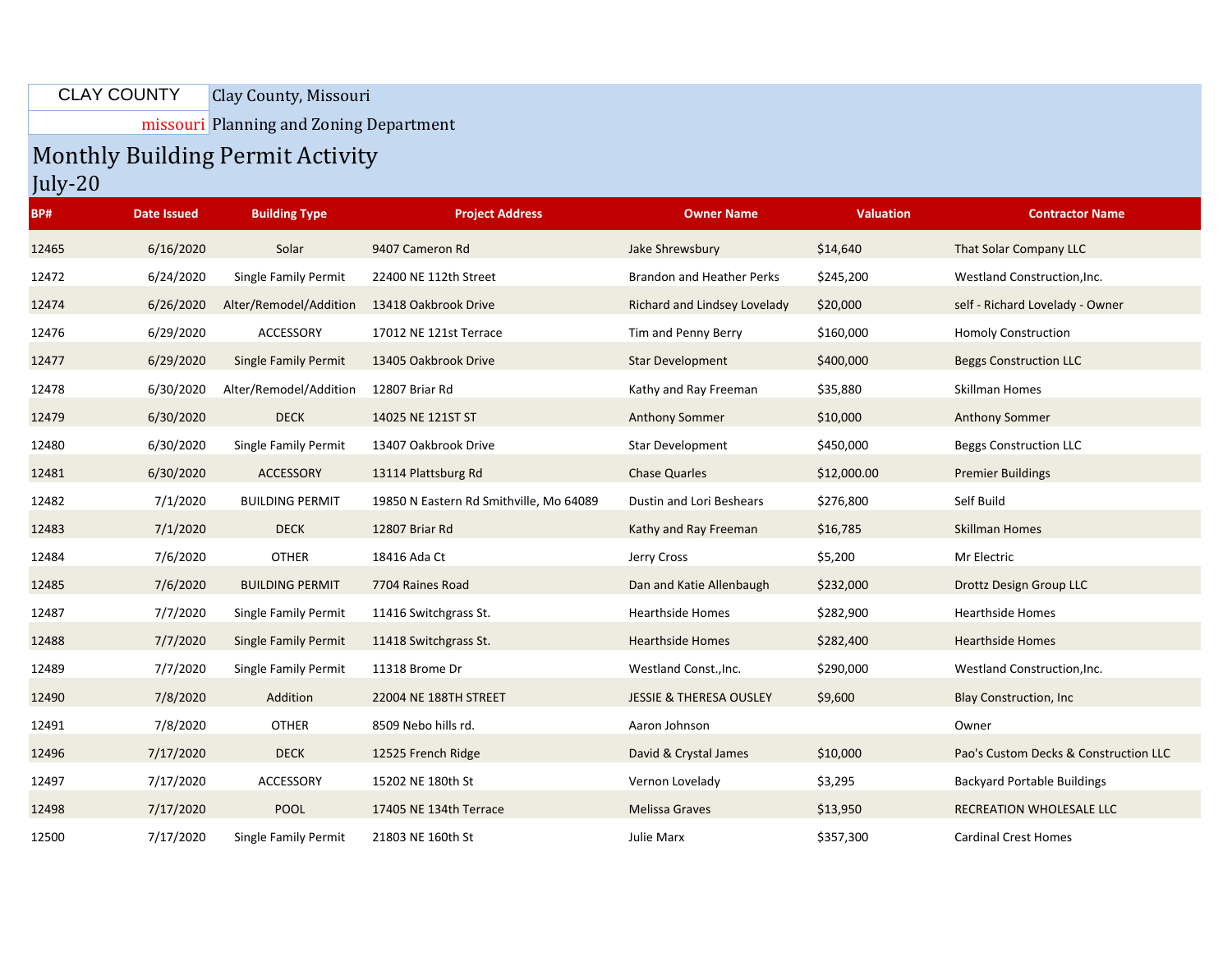## Clay County, Missouri CLAY COUNTY

missouri Planning and Zoning Department

## Monthly Building Permit Activity

July-20

| BP#   | <b>Date Issued</b> | <b>Building Type</b>        | <b>Project Address</b>                  | <b>Owner Name</b>                  | <b>Valuation</b> | <b>Contractor Name</b>                |
|-------|--------------------|-----------------------------|-----------------------------------------|------------------------------------|------------------|---------------------------------------|
| 12465 | 6/16/2020          | Solar                       | 9407 Cameron Rd                         | Jake Shrewsbury                    | \$14,640         | That Solar Company LLC                |
| 12472 | 6/24/2020          | Single Family Permit        | 22400 NE 112th Street                   | <b>Brandon and Heather Perks</b>   | \$245,200        | Westland Construction, Inc.           |
| 12474 | 6/26/2020          | Alter/Remodel/Addition      | 13418 Oakbrook Drive                    | Richard and Lindsey Lovelady       | \$20,000         | self - Richard Lovelady - Owner       |
| 12476 | 6/29/2020          | ACCESSORY                   | 17012 NE 121st Terrace                  | Tim and Penny Berry                | \$160,000        | <b>Homoly Construction</b>            |
| 12477 | 6/29/2020          | <b>Single Family Permit</b> | 13405 Oakbrook Drive                    | <b>Star Development</b>            | \$400,000        | <b>Beggs Construction LLC</b>         |
| 12478 | 6/30/2020          | Alter/Remodel/Addition      | 12807 Briar Rd                          | Kathy and Ray Freeman              | \$35,880         | Skillman Homes                        |
| 12479 | 6/30/2020          | <b>DECK</b>                 | 14025 NE 121ST ST                       | <b>Anthony Sommer</b>              | \$10,000         | <b>Anthony Sommer</b>                 |
| 12480 | 6/30/2020          | Single Family Permit        | 13407 Oakbrook Drive                    | Star Development                   | \$450,000        | <b>Beggs Construction LLC</b>         |
| 12481 | 6/30/2020          | ACCESSORY                   | 13114 Plattsburg Rd                     | <b>Chase Quarles</b>               | \$12,000.00      | <b>Premier Buildings</b>              |
| 12482 | 7/1/2020           | <b>BUILDING PERMIT</b>      | 19850 N Eastern Rd Smithville, Mo 64089 | Dustin and Lori Beshears           | \$276,800        | Self Build                            |
| 12483 | 7/1/2020           | <b>DECK</b>                 | 12807 Briar Rd                          | Kathy and Ray Freeman              | \$16,785         | <b>Skillman Homes</b>                 |
| 12484 | 7/6/2020           | <b>OTHER</b>                | 18416 Ada Ct                            | Jerry Cross                        | \$5,200          | Mr Electric                           |
| 12485 | 7/6/2020           | <b>BUILDING PERMIT</b>      | 7704 Raines Road                        | Dan and Katie Allenbaugh           | \$232,000        | Drottz Design Group LLC               |
| 12487 | 7/7/2020           | Single Family Permit        | 11416 Switchgrass St.                   | <b>Hearthside Homes</b>            | \$282,900        | <b>Hearthside Homes</b>               |
| 12488 | 7/7/2020           | Single Family Permit        | 11418 Switchgrass St.                   | <b>Hearthside Homes</b>            | \$282,400        | <b>Hearthside Homes</b>               |
| 12489 | 7/7/2020           | Single Family Permit        | 11318 Brome Dr                          | Westland Const., Inc.              | \$290,000        | Westland Construction, Inc.           |
| 12490 | 7/8/2020           | Addition                    | 22004 NE 188TH STREET                   | <b>JESSIE &amp; THERESA OUSLEY</b> | \$9,600          | <b>Blay Construction, Inc</b>         |
| 12491 | 7/8/2020           | <b>OTHER</b>                | 8509 Nebo hills rd.                     | Aaron Johnson                      |                  | Owner                                 |
| 12496 | 7/17/2020          | <b>DECK</b>                 | 12525 French Ridge                      | David & Crystal James              | \$10,000         | Pao's Custom Decks & Construction LLC |
| 12497 | 7/17/2020          | ACCESSORY                   | 15202 NE 180th St                       | Vernon Lovelady                    | \$3,295          | <b>Backyard Portable Buildings</b>    |
| 12498 | 7/17/2020          | <b>POOL</b>                 | 17405 NE 134th Terrace                  | <b>Melissa Graves</b>              | \$13,950         | RECREATION WHOLESALE LLC              |
| 12500 | 7/17/2020          | Single Family Permit        | 21803 NE 160th St                       | Julie Marx                         | \$357,300        | <b>Cardinal Crest Homes</b>           |